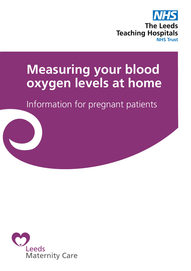

# **Measuring your blood oxygen levels at home**

Information for pregnant patients

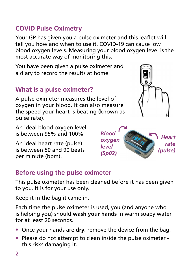- Once your hands are **dry,** remove the device from the bag.
- Please do not attempt to clean inside the pulse oximeter this risks damaging it.

#### **COVID Pulse Oximetry**

Your GP has given you a pulse oximeter and this leaflet will tell you how and when to use it. COVID-19 can cause low blood oxygen levels. Measuring your blood oxygen level is the most accurate way of monitoring this.

You have been given a pulse oximeter and a diary to record the results at home.

### **What is a pulse oximeter?**

A pulse oximeter measures the level of oxygen in your blood. It can also measure the speed your heart is beating (known as pulse rate).

An ideal blood oxygen level is between 95% and 100%

An ideal heart rate (pulse) is between 50 and 90 beats per minute (bpm).

#### **Before using the pulse oximeter**

This pulse oximeter has been cleaned before it has been given to you. It is for your use only.

Keep it in the bag it came in.

Each time the pulse oximeter is used, you (and anyone who is helping you) should **wash your hands** in warm soapy water for at least 20 seconds.



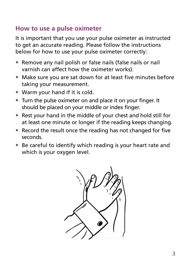#### **How to use a pulse oximeter**

It is important that you use your pulse oximeter as instructed to get an accurate reading. Please follow the instructions below for how to use your pulse oximeter correctly:

- Remove any nail polish or false nails (false nails or nail varnish can affect how the oximeter works).
- Make sure you are sat down for at least five minutes before taking your measurement.
- Warm your hand if it is cold.
- Turn the pulse oximeter on and place it on your finger. It should be placed on your middle or index finger.
- Rest your hand in the middle of your chest and hold still for at least one minute or longer if the reading keeps changing.
- Record the result once the reading has not changed for five seconds.
- Be careful to identify which reading is your heart rate and which is your oxygen level.

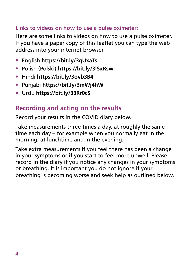#### **Links to videos on how to use a pulse oximeter:**

Here are some links to videos on how to use a pulse oximeter. If you have a paper copy of this leaflet you can type the web address into your internet browser.

- English **https://bit.ly/3qUxaTs**
- Polish (Polski) **https://bit.ly/3lSxRsw**
- Hindi **https://bit.ly/3ovb3B4**
- Punjabi **https://bit.ly/3mWj4hW**
- Urdu **https://bit.ly/33Rr0cS**

#### **Recording and acting on the results**

Record your results in the COVID diary below.

Take measurements three times a day, at roughly the same time each day – for example when you normally eat in the morning, at lunchtime and in the evening.

Take extra measurements if you feel there has been a change in your symptoms or if you start to feel more unwell. Please record in the diary if you notice any changes in your symptoms or breathing. It is important you do not ignore if your breathing is becoming worse and seek help as outlined below.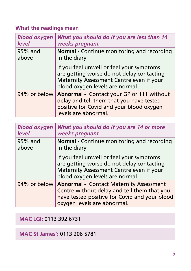#### **What the readings mean**

| <b>Blood oxygen</b> | What you should do if you are less than 14                                                                                                                           |
|---------------------|----------------------------------------------------------------------------------------------------------------------------------------------------------------------|
| <b>level</b>        | weeks pregnant                                                                                                                                                       |
| 95% and             | <b>Normal - Continue monitoring and recording</b>                                                                                                                    |
| above               | in the diary                                                                                                                                                         |
|                     | If you feel unwell or feel your symptoms<br>are getting worse do not delay contacting<br>Maternity Assessment Centre even if your<br>blood oxygen levels are normal. |
| 94% or below        | <b>Abnormal</b> - Contact your GP or 111 without<br>delay and tell them that you have tested<br>positive for Covid and your blood oxygen<br>levels are abnormal.     |

| <b>Blood oxygen</b> | What you should do if you are 14 or more                                                                                                                                              |
|---------------------|---------------------------------------------------------------------------------------------------------------------------------------------------------------------------------------|
| <b>level</b>        | weeks pregnant                                                                                                                                                                        |
| 95% and             | Normal - Continue monitoring and recording                                                                                                                                            |
| above               | in the diary                                                                                                                                                                          |
|                     | If you feel unwell or feel your symptoms<br>are getting worse do not delay contacting<br>Maternity Assessment Centre even if your<br>blood oxygen levels are normal.                  |
|                     | 94% or below   Abnormal - Contact Maternity Assessment<br>Centre without delay and tell them that you<br>have tested positive for Covid and your blood<br>oxygen levels are abnormal. |

#### **MAC LGI:** 0113 392 6731

**MAC St James':** 0113 206 5781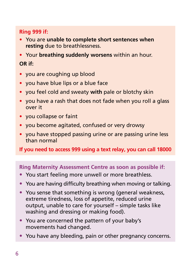#### **Ring 999 if:**

- You are **unable to complete short sentences when resting** due to breathlessness.
- Your **breathing suddenly worsens** within an hour.

#### **OR if:**

- you are coughing up blood
- you have blue lips or a blue face
- you feel cold and sweaty **with** pale or blotchy skin
- you have a rash that does not fade when you roll a glass over it
- you collapse or faint
- you become agitated, confused or very drowsy
- you have stopped passing urine or are passing urine less than normal

**If you need to access 999 using a text relay, you can call 18000**

#### **Ring Maternity Assessment Centre as soon as possible if:**

- You start feeling more unwell or more breathless.
- You are having difficulty breathing when moving or talking.
- You sense that something is wrong (general weakness, extreme tiredness, loss of appetite, reduced urine output, unable to care for yourself – simple tasks like washing and dressing or making food).
- You are concerned the pattern of your baby's movements had changed.
- You have any bleeding, pain or other pregnancy concerns.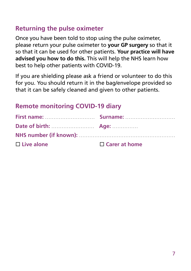#### **Returning the pulse oximeter**

Once you have been told to stop using the pulse oximeter, please return your pulse oximeter to **your GP surgery** so that it so that it can be used for other patients. **Your practice will have advised you how to do this.** This will help the NHS learn how best to help other patients with COVID-19.

If you are shielding please ask a friend or volunteer to do this for you. You should return it in the bag/envelope provided so that it can be safely cleaned and given to other patients.

#### **Remote monitoring COVID-19 diary**

| First name: Manual Communication Surname: Manual Communication Surname: |                      |
|-------------------------------------------------------------------------|----------------------|
|                                                                         |                      |
|                                                                         |                      |
| $\Box$ Live alone                                                       | $\Box$ Carer at home |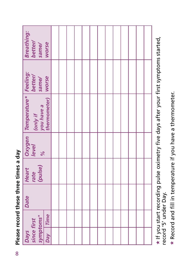|                                       | <b>Breathing:</b><br>better/<br>same/                                           | worse        |  |  |  |  |  |  |  |
|---------------------------------------|---------------------------------------------------------------------------------|--------------|--|--|--|--|--|--|--|
|                                       | same/                                                                           | <b>WOrse</b> |  |  |  |  |  |  |  |
|                                       | <i>Oxygen Temperature* Feeling:<br/>level contuit</i><br>you have a<br>(only if | thermometer) |  |  |  |  |  |  |  |
|                                       | $\frac{6}{6}$                                                                   |              |  |  |  |  |  |  |  |
|                                       | rate<br>(pulse)<br>Heart                                                        |              |  |  |  |  |  |  |  |
| Please record these three times a day | <b>Date</b>                                                                     |              |  |  |  |  |  |  |  |
|                                       |                                                                                 | Time         |  |  |  |  |  |  |  |
|                                       | symptoms*<br>since first<br><b>Days</b>                                         | <b>Day</b>   |  |  |  |  |  |  |  |

 $\star$  If you start recording pulse oximetry five days after your first symptoms started, \* If you start recording pulse oximetry five days after your first symptoms started,<br>record '5' under Day. record '5' under Day.

\* Record and fill in temperature if you have a thermometer. **\*** Record and fill in temperature if you have a thermometer.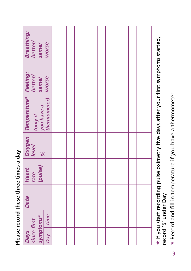| <b>Breathing:</b><br>better/<br>same/<br>worse                                 |  |  |  |  |  |  |  |
|--------------------------------------------------------------------------------|--|--|--|--|--|--|--|
| <b>better/</b><br>same/                                                        |  |  |  |  |  |  |  |
| Temperature*   Feeling:<br>you have a Same/<br>thermometer) Worse<br>( only if |  |  |  |  |  |  |  |
| Oxygen<br><b>level</b><br>$\frac{6}{6}$                                        |  |  |  |  |  |  |  |
| rate<br>(pulse)<br><b>Heart</b>                                                |  |  |  |  |  |  |  |
| Date                                                                           |  |  |  |  |  |  |  |
| <b>Time</b>                                                                    |  |  |  |  |  |  |  |
| symptoms*<br>since first<br><b>Day</b><br><b>Days</b>                          |  |  |  |  |  |  |  |

Please record these three times a day **Please record these three times a day**  $\star$  If you start recording pulse oximetry five days after your first symptoms started,  $\star$  If you start recording pulse oximetry five days after your first symptoms started, record '5' under Day. record '5' under Day.

\* Record and fill in temperature if you have a thermometer. **\*** Record and fill in temperature if you have a thermometer.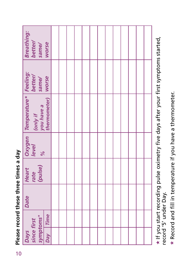|                                       | Breathing:                                                        | better/<br>same/         | worse                |  |  |  |  |  |  |  |
|---------------------------------------|-------------------------------------------------------------------|--------------------------|----------------------|--|--|--|--|--|--|--|
|                                       |                                                                   | same/                    |                      |  |  |  |  |  |  |  |
|                                       | <b>Oxygen Temperature* Feeling:<br/>level contraction better/</b> | you have a<br>(only if   | thermometer)   worse |  |  |  |  |  |  |  |
|                                       |                                                                   | $\frac{5}{6}$            |                      |  |  |  |  |  |  |  |
| Please record these three times a day | Heart                                                             | (pulse)<br>rate          |                      |  |  |  |  |  |  |  |
|                                       | Date                                                              |                          |                      |  |  |  |  |  |  |  |
|                                       |                                                                   |                          |                      |  |  |  |  |  |  |  |
|                                       | <b>Days</b>                                                       | symptoms*<br>since first | Day Time             |  |  |  |  |  |  |  |
| 10                                    |                                                                   |                          |                      |  |  |  |  |  |  |  |

 $\star$  If you start recording pulse oximetry five days after your first symptoms started, \* If you start recording pulse oximetry five days after your first symptoms started,<br>record '5' under Day. record '5' under Day.

\* Record and fill in temperature if you have a thermometer. **\*** Record and fill in temperature if you have a thermometer.

Please record these three times a day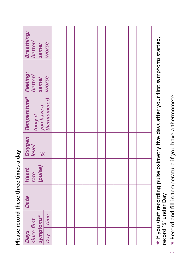| <b>Breathing:</b><br><b>better/</b><br>same/<br>worse                         |  |  |  |  |  |  |  |
|-------------------------------------------------------------------------------|--|--|--|--|--|--|--|
| <b>better/</b><br>same/                                                       |  |  |  |  |  |  |  |
| Temperature*   Feeling:<br>you have a Same/<br>thermometer) Worse<br>(only if |  |  |  |  |  |  |  |
| Oxygen<br><b>level</b><br>$\frac{6}{6}$                                       |  |  |  |  |  |  |  |
| rate<br>(pulse)<br><b>Heart</b>                                               |  |  |  |  |  |  |  |
| Date                                                                          |  |  |  |  |  |  |  |
| <b>Time</b>                                                                   |  |  |  |  |  |  |  |
| symptoms*<br>since first<br><b>Day</b><br><b>Days</b>                         |  |  |  |  |  |  |  |

Please record these three times a day **Please record these three times a day**  $\star$  If you start recording pulse oximetry five days after your first symptoms started,  $\star$  If you start recording pulse oximetry five days after your first symptoms started, record '5' under Day. record '5' under Day.

\* Record and fill in temperature if you have a thermometer. **\*** Record and fill in temperature if you have a thermometer.